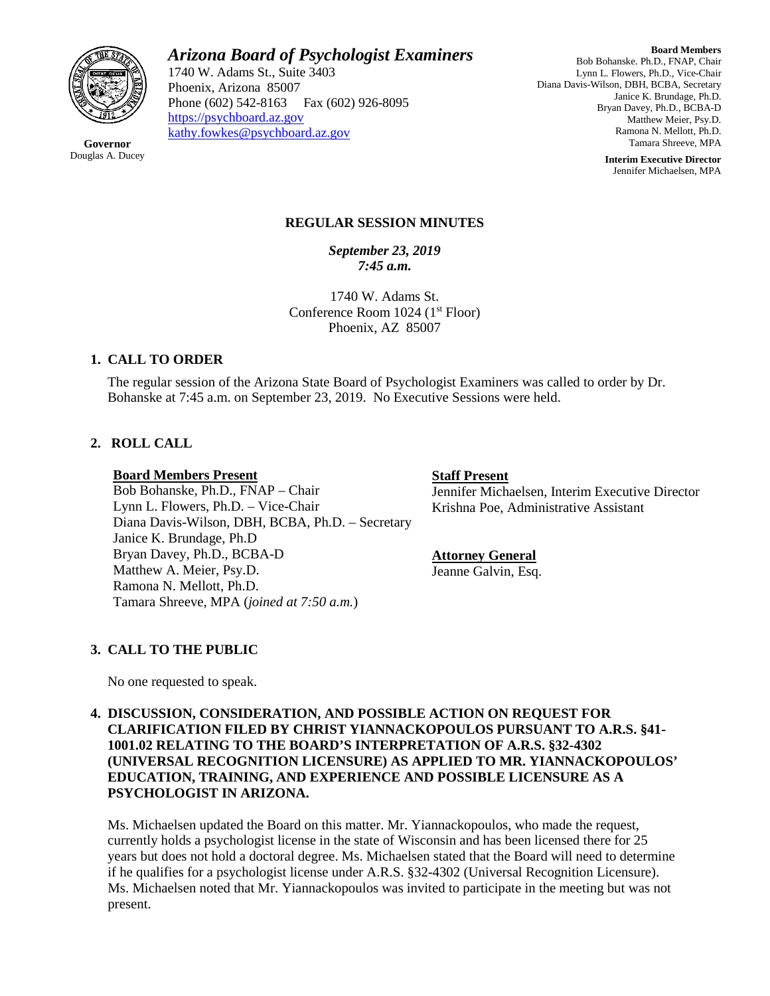

*Arizona Board of Psychologist Examiners*

1740 W. Adams St., Suite 3403 Phoenix, Arizona 85007 Phone (602) 542-8163 Fax (602) 926-8095 [https://psychboard.az.gov](https://psychboard.az.gov/)  [kathy.fowkes@psychboard.az.gov](mailto:kathy.fowkes@psychboard.az.gov)

**Board Members** Bob Bohanske. Ph.D., FNAP, Chair Lynn L. Flowers, Ph.D., Vice-Chair Diana Davis-Wilson, DBH, BCBA, Secretary Janice K. Brundage, Ph.D. Bryan Davey, Ph.D., BCBA-D Matthew Meier, Psy.D. Ramona N. Mellott, Ph.D. Tamara Shreeve, MPA

> **Interim Executive Director** Jennifer Michaelsen, MPA

## **REGULAR SESSION MINUTES**

*September 23, 2019 7:45 a.m.*

1740 W. Adams St. Conference Room  $1024$  ( $1<sup>st</sup>$  Floor) Phoenix, AZ 85007

# **1. CALL TO ORDER**

The regular session of the Arizona State Board of Psychologist Examiners was called to order by Dr. Bohanske at 7:45 a.m. on September 23, 2019. No Executive Sessions were held.

# **2. ROLL CALL**

#### **Board Members Present**

Bob Bohanske, Ph.D., FNAP – Chair Lynn L. Flowers, Ph.D. – Vice-Chair Diana Davis-Wilson, DBH, BCBA, Ph.D. – Secretary Janice K. Brundage, Ph.D Bryan Davey, Ph.D., BCBA-D Matthew A. Meier, Psy.D. Ramona N. Mellott, Ph.D. Tamara Shreeve, MPA (*joined at 7:50 a.m.*)

#### **Staff Present**

Jennifer Michaelsen, Interim Executive Director Krishna Poe, Administrative Assistant

### **Attorney General**

Jeanne Galvin, Esq.

# **3. CALL TO THE PUBLIC**

No one requested to speak.

### **4. DISCUSSION, CONSIDERATION, AND POSSIBLE ACTION ON REQUEST FOR CLARIFICATION FILED BY CHRIST YIANNACKOPOULOS PURSUANT TO A.R.S. §41- 1001.02 RELATING TO THE BOARD'S INTERPRETATION OF A.R.S. §32-4302 (UNIVERSAL RECOGNITION LICENSURE) AS APPLIED TO MR. YIANNACKOPOULOS' EDUCATION, TRAINING, AND EXPERIENCE AND POSSIBLE LICENSURE AS A PSYCHOLOGIST IN ARIZONA.**

Ms. Michaelsen updated the Board on this matter. Mr. Yiannackopoulos, who made the request, currently holds a psychologist license in the state of Wisconsin and has been licensed there for 25 years but does not hold a doctoral degree. Ms. Michaelsen stated that the Board will need to determine if he qualifies for a psychologist license under A.R.S. §32-4302 (Universal Recognition Licensure). Ms. Michaelsen noted that Mr. Yiannackopoulos was invited to participate in the meeting but was not present.

**Governor** Douglas A. Ducey